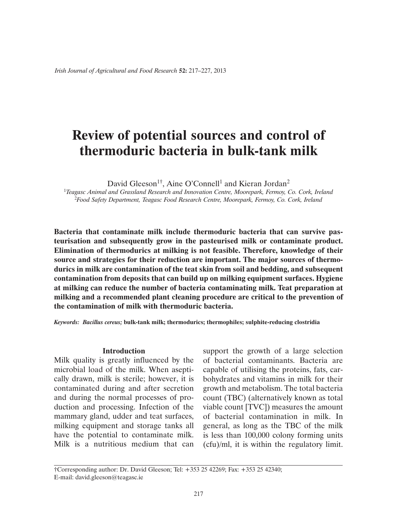# **Review of potential sources and control of thermoduric bacteria in bulk-tank milk**

David Gleeson<sup>1†</sup>, Aine O'Connell<sup>1</sup> and Kieran Jordan<sup>2</sup>

<sup>1</sup>*Teagasc Animal and Grassland Research and Innovation Centre, Moorepark, Fermoy, Co. Cork, Ireland* <sup>2</sup>*Food Safety Department, Teagasc Food Research Centre, Moorepark, Fermoy, Co. Cork, Ireland*

**Bacteria that contaminate milk include thermoduric bacteria that can survive pasteurisation and subsequently grow in the pasteurised milk or contaminate product. Elimination of thermodurics at milking is not feasible. Therefore, knowledge of their source and strategies for their reduction are important. The major sources of thermodurics in milk are contamination of the teat skin from soil and bedding, and subsequent contamination from deposits that can build up on milking equipment surfaces. Hygiene at milking can reduce the number of bacteria contaminating milk. Teat preparation at milking and a recommended plant cleaning procedure are critical to the prevention of the contamination of milk with thermoduric bacteria.**

*Keywords:**Bacillus cereus;* **bulk-tank milk; thermodurics; thermophiles; sulphite-reducing clostridia** 

## **Introduction**

Milk quality is greatly influenced by the microbial load of the milk. When aseptically drawn, milk is sterile; however, it is contaminated during and after secretion and during the normal processes of production and processing. Infection of the mammary gland, udder and teat surfaces, milking equipment and storage tanks all have the potential to contaminate milk. Milk is a nutritious medium that can support the growth of a large selection of bacterial contaminants. Bacteria are capable of utilising the proteins, fats, carbohydrates and vitamins in milk for their growth and metabolism. The total bacteria count (TBC) (alternatively known as total viable count [TVC]) measures the amount of bacterial contamination in milk. In general, as long as the TBC of the milk is less than 100,000 colony forming units (cfu)/ml, it is within the regulatory limit.

†Corresponding author: Dr. David Gleeson; Tel: +353 25 42269; Fax: +353 25 42340; E-mail: david.gleeson@teagasc.ie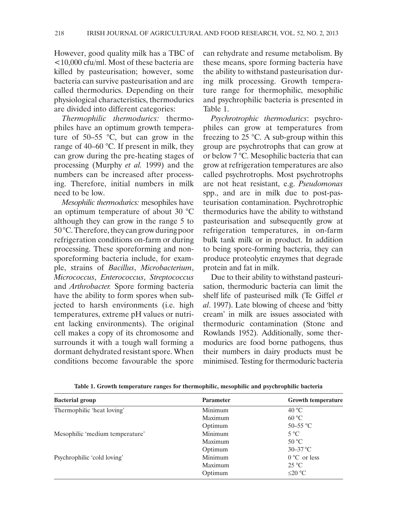However, good quality milk has a TBC of <10,000 cfu/ml. Most of these bacteria are killed by pasteurisation; however, some bacteria can survive pasteurisation and are called thermodurics. Depending on their physiological characteristics, thermodurics are divided into different categories:

*Thermophilic thermodurics:* thermophiles have an optimum growth temperature of  $50-55$  °C, but can grow in the range of 40–60 °C. If present in milk, they can grow during the pre-heating stages of processing (Murphy *et al.* 1999) and the numbers can be increased after processing. Therefore, initial numbers in milk need to be low.

*Mesophilic thermodurics:* mesophiles have an optimum temperature of about 30 °C although they can grow in the range 5 to 50 °C. Therefore, they can grow during poor refrigeration conditions on-farm or during processing. These sporeforming and nonsporeforming bacteria include, for example, strains of *Bacillus*, *Microbacterium*, *Micrococcus*, *Enterococcus*, *Streptococcus* and *Arthrobacter.* Spore forming bacteria have the ability to form spores when subjected to harsh environments (i.e. high temperatures, extreme pH values or nutrient lacking environments). The original cell makes a copy of its chromosome and surrounds it with a tough wall forming a dormant dehydrated resistant spore. When conditions become favourable the spore

can rehydrate and resume metabolism. By these means, spore forming bacteria have the ability to withstand pasteurisation during milk processing. Growth temperature range for thermophilic, mesophilic and psychrophilic bacteria is presented in Table 1.

*Psychrotrophic thermodurics*: psychrophiles can grow at temperatures from freezing to 25 °C. A sub-group within this group are psychrotrophs that can grow at or below 7 °C. Mesophilic bacteria that can grow at refrigeration temperatures are also called psychrotrophs. Most psychrotrophs are not heat resistant, e.g. *Pseudomonas* spp., and are in milk due to post-pasteurisation contamination. Psychrotrophic thermodurics have the ability to withstand pasteurisation and subsequently grow at refrigeration temperatures, in on-farm bulk tank milk or in product. In addition to being spore-forming bacteria, they can produce proteolytic enzymes that degrade protein and fat in milk.

Due to their ability to withstand pasteurisation, thermoduric bacteria can limit the shelf life of pasteurised milk (Te Giffel *et al*. 1997). Late blowing of cheese and 'bitty cream' in milk are issues associated with thermoduric contamination (Stone and Rowlands 1952). Additionally, some thermodurics are food borne pathogens, thus their numbers in dairy products must be minimised. Testing for thermoduric bacteria

| <b>Bacterial group</b>          | <b>Parameter</b> | <b>Growth temperature</b> |
|---------------------------------|------------------|---------------------------|
| Thermophilic 'heat loving'      | Minimum          | $40^{\circ}$ C            |
|                                 | Maximum          | 60 °C                     |
|                                 | Optimum          | $50 - 55$ °C              |
| Mesophilic 'medium temperature' | Minimum          | $5^{\circ}$ C             |
|                                 | Maximum          | $50^{\circ}$ C            |
|                                 | Optimum          | $30 - 37$ °C              |
| Psychrophilic 'cold loving'     | Minimum          | $0^{\circ}$ C or less     |
|                                 | Maximum          | $25^{\circ}$ C            |
|                                 | Optimum          | ≤20 °C                    |

**Table 1. Growth temperature ranges for thermophilic, mesophilic and psychrophilic bacteria**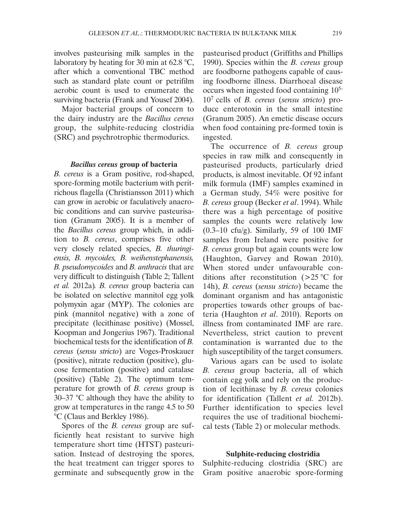involves pasteurising milk samples in the laboratory by heating for 30 min at 62.8 °C, after which a conventional TBC method such as standard plate count or petrifilm aerobic count is used to enumerate the surviving bacteria (Frank and Yousef 2004).

Major bacterial groups of concern to the dairy industry are the *Bacillus cereus* group, the sulphite-reducing clostridia (SRC) and psychrotrophic thermodurics.

## *Bacillus cereus* **group of bacteria**

*B. cereus* is a Gram positive, rod-shaped, spore-forming motile bacterium with peritrichous flagella (Christiansson 2011) which can grow in aerobic or faculatively anaerobic conditions and can survive pasteurisation (Granum 2005). It is a member of the *Bacillus cereus* group which, in addition to *B. cereus*, comprises five other very closely related species, *B. thuringiensis, B. mycoides, B. weihenstephanensis, B. pseudomycoides* and *B. anthracis* that are very difficult to distinguish (Table 2; Tallent *et al.* 2012a)*. B. cereus* group bacteria can be isolated on selective mannitol egg yolk polymyxin agar (MYP). The colonies are pink (mannitol negative) with a zone of precipitate (lecithinase positive) (Mossel, Koopman and Jongerius 1967). Traditional biochemical tests for the identification of *B. cereus* (*sensu stricto*) are Voges-Proskauer (positive), nitrate reduction (positive), glucose fermentation (positive) and catalase (positive) (Table 2). The optimum temperature for growth of *B. cereus* group is 30–37 °C although they have the ability to grow at temperatures in the range 4.5 to 50 °C (Claus and Berkley 1986).

Spores of the *B. cereus* group are sufficiently heat resistant to survive high temperature short time (HTST) pasteurisation. Instead of destroying the spores, the heat treatment can trigger spores to germinate and subsequently grow in the pasteurised product (Griffiths and Phillips 1990). Species within the *B. cereus* group are foodborne pathogens capable of causing foodborne illness. Diarrhoeal disease occurs when ingested food containing 105- 107 cells of *B. cereus* (*sensu stricto*) produce enterotoxin in the small intestine (Granum 2005). An emetic disease occurs when food containing pre-formed toxin is ingested.

The occurrence of *B. cereus* group species in raw milk and consequently in pasteurised products, particularly dried products, is almost inevitable. Of 92 infant milk formula (IMF) samples examined in a German study, 54% were positive for *B. cereus* group (Becker *et al*. 1994). While there was a high percentage of positive samples the counts were relatively low  $(0.3-10 \text{ cftu/g})$ . Similarly, 59 of 100 IMF samples from Ireland were positive for *B. cereus* group but again counts were low (Haughton, Garvey and Rowan 2010). When stored under unfavourable conditions after reconstitution (>25 °C for 14h), *B. cereus* (*sensu stricto*) became the dominant organism and has antagonistic properties towards other groups of bacteria (Haughton *et al*. 2010). Reports on illness from contaminated IMF are rare. Nevertheless, strict caution to prevent contamination is warranted due to the high susceptibility of the target consumers.

Various agars can be used to isolate *B. cereus* group bacteria, all of which contain egg yolk and rely on the production of lecithinase by *B. cereus* colonies for identification (Tallent *et al.* 2012b). Further identification to species level requires the use of traditional biochemical tests (Table 2) or molecular methods.

# **Sulphite-reducing clostridia**

Sulphite-reducing clostridia (SRC) are Gram positive anaerobic spore-forming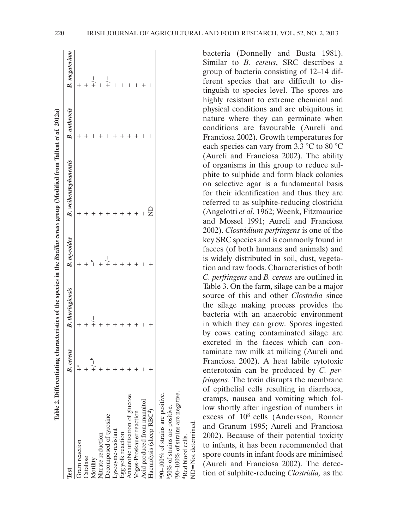| 220<br>IRISH JOURNAL OF AGRICULTURAL AND FOOD RESEARCH, VOL. 52, NO. 2, 2013 |  |
|------------------------------------------------------------------------------|--|
|------------------------------------------------------------------------------|--|

| lest                                                                        | B. cereus | <b>B.</b> thuringiensis | <b>B.</b> mycoides | <b>B.</b> weihenstephanensis | <b>B.</b> anthracis | B. megaterun  |
|-----------------------------------------------------------------------------|-----------|-------------------------|--------------------|------------------------------|---------------------|---------------|
| Gram reaction                                                               |           |                         |                    |                              |                     |               |
| Catalase                                                                    |           |                         |                    |                              |                     |               |
| Motility                                                                    |           |                         |                    |                              |                     |               |
| Nitrate reduction                                                           |           |                         |                    |                              |                     |               |
| Decomposed of tyrosine                                                      |           |                         |                    |                              |                     | $\frac{1}{+}$ |
|                                                                             |           |                         |                    |                              |                     |               |
|                                                                             |           |                         |                    |                              |                     |               |
| Lysozyme-resistant<br>Egg yolk reaction<br>Anaerobic utilisation of glucose |           |                         |                    |                              |                     |               |
|                                                                             |           |                         |                    |                              |                     |               |
| Voges-Proskauer reaction<br>Acid produced from mannitol                     |           |                         |                    |                              |                     |               |
| Haemolysis (sheep RBC <sup>e</sup> )                                        |           |                         |                    |                              |                     |               |
| a90-100% of strains are positive.                                           |           |                         |                    |                              |                     |               |
| 50% of strains are positive.                                                |           |                         |                    |                              |                     |               |

c90–100% of strains are negative.

:90-100% of strains are negative.

dRed blood cells. ND=Not determined.

VD=Not determined Red blood cells.

bacteria (Donnelly and Busta 1981). Similar to *B. cereus*, SRC describes a group of bacteria consisting of 12–14 different species that are difficult to distinguish to species level. The spores are highly resistant to extreme chemical and physical conditions and are ubiquitous in nature where they can germinate when conditions are favourable (Aureli and Franciosa 2002). Growth temperatures for each species can vary from 3.3 °C to 80 °C (Aureli and Franciosa 2002). The ability of organisms in this group to reduce sulphite to sulphide and form black colonies on selective agar is a fundamental basis for their identification and thus they are referred to as sulphite-reducing clostridia (Angelotti *et al*. 1962; Weenk, Fitzmaurice and Mossel 1991; Aureli and Franciosa 2002). *Clostridium perfringens* is one of the key SRC species and is commonly found in faeces (of both humans and animals) and is widely distributed in soil, dust, vegetation and raw foods. Characteristics of both *C. perfringens* and *B. cereus* are outlined in Table 3. On the farm, silage can be a major source of this and other *Clostridia* since the silage making process provides the bacteria with an anaerobic environment in which they can grow. Spores ingested by cows eating contaminated silage are excreted in the faeces which can contaminate raw milk at milking (Aureli and Franciosa 2002). A heat labile cytotoxic enterotoxin can be produced by *C. perfringens.* The toxin disrupts the membrane of epithelial cells resulting in diarrhoea, cramps, nausea and vomiting which follow shortly after ingestion of numbers in excess of 108 cells (Andersson, Ronner and Granum 1995; Aureli and Franciosa 2002). Because of their potential toxicity to infants, it has been recommended that spore counts in infant foods are minimised (Aureli and Franciosa 2002). The detection of sulphite-reducing *Clostridia,* as the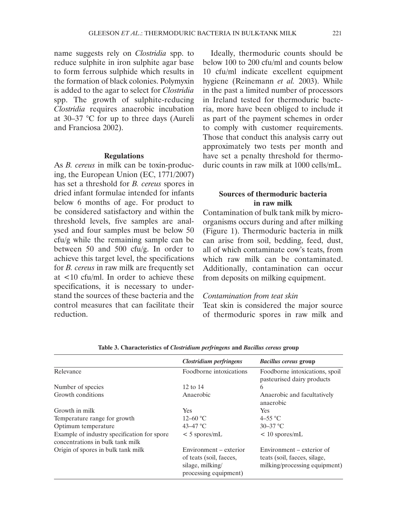name suggests rely on *Clostridia* spp. to reduce sulphite in iron sulphite agar base to form ferrous sulphide which results in the formation of black colonies. Polymyxin is added to the agar to select for *Clostridia*  spp. The growth of sulphite-reducing *Clostridia* requires anaerobic incubation at 30–37 °C for up to three days (Aureli and Franciosa 2002).

# **Regulations**

As *B. cereus* in milk can be toxin-producing, the European Union (EC, 1771/2007) has set a threshold for *B. cereus* spores in dried infant formulae intended for infants below 6 months of age. For product to be considered satisfactory and within the threshold levels, five samples are analysed and four samples must be below 50 cfu/g while the remaining sample can be between 50 and 500 cfu/g. In order to achieve this target level, the specifications for *B. cereus* in raw milk are frequently set at <10 cfu/ml. In order to achieve these specifications, it is necessary to understand the sources of these bacteria and the control measures that can facilitate their reduction.

Ideally, thermoduric counts should be below 100 to 200 cfu/ml and counts below 10 cfu/ml indicate excellent equipment hygiene (Reinemann *et al.* 2003). While in the past a limited number of processors in Ireland tested for thermoduric bacteria, more have been obliged to include it as part of the payment schemes in order to comply with customer requirements. Those that conduct this analysis carry out approximately two tests per month and have set a penalty threshold for thermoduric counts in raw milk at 1000 cells/mL.

# **Sources of thermoduric bacteria in raw milk**

Contamination of bulk tank milk by microorganisms occurs during and after milking (Figure 1). Thermoduric bacteria in milk can arise from soil, bedding, feed, dust, all of which contaminate cow's teats, from which raw milk can be contaminated. Additionally, contamination can occur from deposits on milking equipment.

# *Contamination from teat skin*

Teat skin is considered the major source of thermoduric spores in raw milk and

|                                                                                 | Clostridium perfringens                                                                        | <b>Bacillus cereus group</b>                                                               |
|---------------------------------------------------------------------------------|------------------------------------------------------------------------------------------------|--------------------------------------------------------------------------------------------|
| Relevance                                                                       | Foodborne intoxications                                                                        | Foodborne intoxications, spoil<br>pasteurised dairy products                               |
| Number of species                                                               | 12 to 14                                                                                       | 6                                                                                          |
| Growth conditions                                                               | Anaerobic                                                                                      | Anaerobic and facultatively<br>anaerobic                                                   |
| Growth in milk                                                                  | <b>Yes</b>                                                                                     | <b>Yes</b>                                                                                 |
| Temperature range for growth                                                    | $12 - 60$ °C                                                                                   | $4 - 55$ °C                                                                                |
| Optimum temperature                                                             | $43 - 47$ °C                                                                                   | $30 - 37$ °C                                                                               |
| Example of industry specification for spore<br>concentrations in bulk tank milk | $<$ 5 spores/mL                                                                                | $< 10$ spores/mL                                                                           |
| Origin of spores in bulk tank milk                                              | Environment – exterior<br>of teats (soil, faeces,<br>silage, milking/<br>processing equipment) | Environment – exterior of<br>teats (soil, faeces, silage,<br>milking/processing equipment) |

**Table 3. Characteristics of** *Clostridium perfringens* **and** *Bacillus cereus* **group**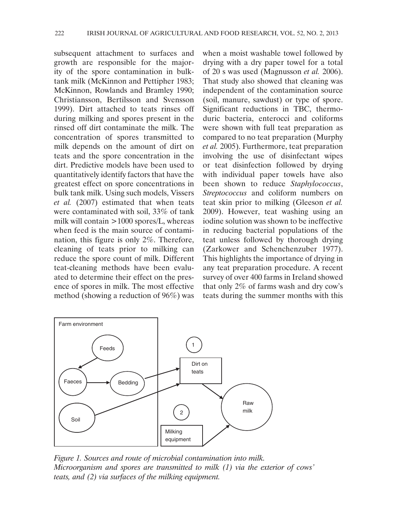subsequent attachment to surfaces and growth are responsible for the majority of the spore contamination in bulktank milk (McKinnon and Pettipher 1983; McKinnon, Rowlands and Bramley 1990; Christiansson, Bertilsson and Svensson 1999). Dirt attached to teats rinses off during milking and spores present in the rinsed off dirt contaminate the milk. The concentration of spores transmitted to milk depends on the amount of dirt on teats and the spore concentration in the dirt. Predictive models have been used to quantitatively identify factors that have the greatest effect on spore concentrations in bulk tank milk. Using such models, Vissers *et al.* (2007) estimated that when teats were contaminated with soil, 33% of tank milk will contain >1000 spores/L, whereas when feed is the main source of contamination, this figure is only 2%. Therefore, cleaning of teats prior to milking can reduce the spore count of milk. Different teat-cleaning methods have been evaluated to determine their effect on the presence of spores in milk. The most effective method (showing a reduction of 96%) was

when a moist washable towel followed by drying with a dry paper towel for a total of 20 s was used (Magnusson *et al.* 2006). That study also showed that cleaning was independent of the contamination source (soil, manure, sawdust) or type of spore. Significant reductions in TBC, thermoduric bacteria, enterocci and coliforms were shown with full teat preparation as compared to no teat preparation (Murphy *et al.* 2005). Furthermore, teat preparation involving the use of disinfectant wipes or teat disinfection followed by drying with individual paper towels have also been shown to reduce *Staphylococcus*, *Streptococcus* and coliform numbers on teat skin prior to milking (Gleeson *et al.* 2009). However, teat washing using an iodine solution was shown to be ineffective in reducing bacterial populations of the teat unless followed by thorough drying (Zarkower and Schenchenzuber 1977). This highlights the importance of drying in any teat preparation procedure. A recent survey of over 400 farms in Ireland showed that only 2% of farms wash and dry cow's teats during the summer months with this



*Figure 1. Sources and route of microbial contamination into milk. Microorganism and spores are transmitted to milk (1) via the exterior of cows' teats, and (2) via surfaces of the milking equipment.*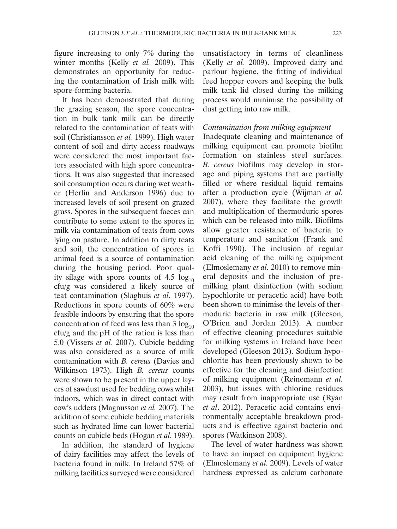figure increasing to only 7% during the winter months (Kelly *et al.* 2009). This demonstrates an opportunity for reducing the contamination of Irish milk with spore-forming bacteria.

It has been demonstrated that during the grazing season, the spore concentration in bulk tank milk can be directly related to the contamination of teats with soil (Christiansson *et al.* 1999). High water content of soil and dirty access roadways were considered the most important factors associated with high spore concentrations. It was also suggested that increased soil consumption occurs during wet weather (Herlin and Anderson 1996) due to increased levels of soil present on grazed grass. Spores in the subsequent faeces can contribute to some extent to the spores in milk via contamination of teats from cows lying on pasture. In addition to dirty teats and soil, the concentration of spores in animal feed is a source of contamination during the housing period. Poor quality silage with spore counts of  $4.5 \log_{10}$ cfu/g was considered a likely source of teat contamination (Slaghuis *et al*. 1997). Reductions in spore counts of 60% were feasible indoors by ensuring that the spore concentration of feed was less than  $3 \log_{10}$ cfu/g and the pH of the ration is less than 5.0 (Vissers *et al.* 2007). Cubicle bedding was also considered as a source of milk contamination with *B. cereus* (Davies and Wilkinson 1973). High *B. cereus* counts were shown to be present in the upper layers of sawdust used for bedding cows whilst indoors, which was in direct contact with cow's udders (Magnusson *et al.* 2007). The addition of some cubicle bedding materials such as hydrated lime can lower bacterial counts on cubicle beds (Hogan *et al.* 1989).

In addition, the standard of hygiene of dairy facilities may affect the levels of bacteria found in milk. In Ireland 57% of milking facilities surveyed were considered

unsatisfactory in terms of cleanliness (Kelly *et al.* 2009). Improved dairy and parlour hygiene, the fitting of individual feed hopper covers and keeping the bulk milk tank lid closed during the milking process would minimise the possibility of dust getting into raw milk.

## *Contamination from milking equipment*

Inadequate cleaning and maintenance of milking equipment can promote biofilm formation on stainless steel surfaces. *B. cereus* biofilms may develop in storage and piping systems that are partially filled or where residual liquid remains after a production cycle (Wijman *et al.* 2007), where they facilitate the growth and multiplication of thermoduric spores which can be released into milk. Biofilms allow greater resistance of bacteria to temperature and sanitation (Frank and Koffi 1990). The inclusion of regular acid cleaning of the milking equipment (Elmoslemany *et al*. 2010) to remove mineral deposits and the inclusion of premilking plant disinfection (with sodium hypochlorite or peracetic acid) have both been shown to minimise the levels of thermoduric bacteria in raw milk (Gleeson, O'Brien and Jordan 2013). A number of effective cleaning procedures suitable for milking systems in Ireland have been developed (Gleeson 2013). Sodium hypochlorite has been previously shown to be effective for the cleaning and disinfection of milking equipment (Reinemann *et al.* 2003), but issues with chlorine residues may result from inappropriate use (Ryan *et al*. 2012). Peracetic acid contains environmentally acceptable breakdown products and is effective against bacteria and spores (Watkinson 2008).

The level of water hardness was shown to have an impact on equipment hygiene (Elmoslemany *et al.* 2009). Levels of water hardness expressed as calcium carbonate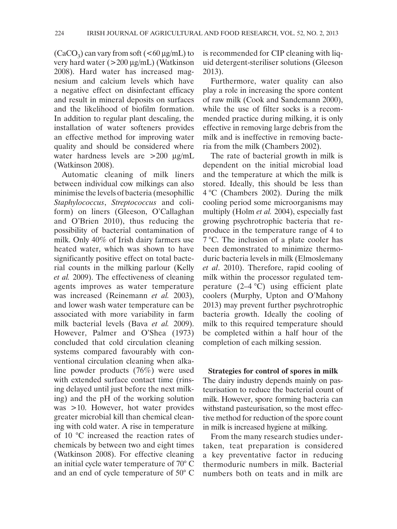$(CaCO<sub>3</sub>)$  can vary from soft  $(<60 \mu g/mL)$  to very hard water (>200 µg/mL) (Watkinson 2008). Hard water has increased magnesium and calcium levels which have a negative effect on disinfectant efficacy and result in mineral deposits on surfaces and the likelihood of biofilm formation. In addition to regular plant descaling, the installation of water softeners provides an effective method for improving water quality and should be considered where water hardness levels are >200  $\mu$ g/mL (Watkinson 2008).

Automatic cleaning of milk liners between individual cow milkings can also minimise the levels of bacteria (mesophillic *Staphylococcus*, *Streptococcus* and coliform) on liners (Gleeson, O'Callaghan and O'Brien 2010), thus reducing the possibility of bacterial contamination of milk. Only 40% of Irish dairy farmers use heated water, which was shown to have significantly positive effect on total bacterial counts in the milking parlour (Kelly *et al.* 2009). The effectiveness of cleaning agents improves as water temperature was increased (Reinemann *et al.* 2003), and lower wash water temperature can be associated with more variability in farm milk bacterial levels (Bava *et al.* 2009). However, Palmer and O'Shea (1973) concluded that cold circulation cleaning systems compared favourably with conventional circulation cleaning when alkaline powder products (76%) were used with extended surface contact time (rinsing delayed until just before the next milking) and the pH of the working solution was >10. However, hot water provides greater microbial kill than chemical cleaning with cold water. A rise in temperature of 10 °C increased the reaction rates of chemicals by between two and eight times (Watkinson 2008). For effective cleaning an initial cycle water temperature of 70° C and an end of cycle temperature of 50° C is recommended for CIP cleaning with liquid detergent-steriliser solutions (Gleeson 2013).

Furthermore, water quality can also play a role in increasing the spore content of raw milk (Cook and Sandemann 2000), while the use of filter socks is a recommended practice during milking, it is only effective in removing large debris from the milk and is ineffective in removing bacteria from the milk (Chambers 2002).

The rate of bacterial growth in milk is dependent on the initial microbial load and the temperature at which the milk is stored. Ideally, this should be less than 4 °C (Chambers 2002). During the milk cooling period some microorganisms may multiply (Holm *et al.* 2004), especially fast growing psychrotrophic bacteria that reproduce in the temperature range of 4 to 7 °C. The inclusion of a plate cooler has been demonstrated to minimize thermoduric bacteria levels in milk (Elmoslemany *et al*. 2010). Therefore, rapid cooling of milk within the processor regulated temperature  $(2-4 \degree C)$  using efficient plate coolers (Murphy, Upton and O'Mahony 2013) may prevent further psychrotrophic bacteria growth. Ideally the cooling of milk to this required temperature should be completed within a half hour of the completion of each milking session.

**Strategies for control of spores in milk** The dairy industry depends mainly on pasteurisation to reduce the bacterial count of milk. However, spore forming bacteria can withstand pasteurisation, so the most effective method for reduction of the spore count in milk is increased hygiene at milking.

From the many research studies undertaken, teat preparation is considered a key preventative factor in reducing thermoduric numbers in milk. Bacterial numbers both on teats and in milk are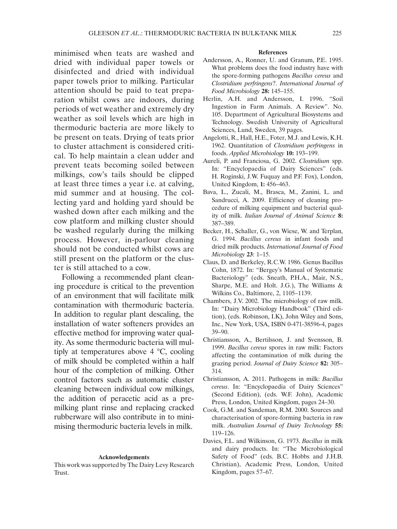minimised when teats are washed and dried with individual paper towels or disinfected and dried with individual paper towels prior to milking. Particular attention should be paid to teat preparation whilst cows are indoors, during periods of wet weather and extremely dry weather as soil levels which are high in thermoduric bacteria are more likely to be present on teats. Drying of teats prior to cluster attachment is considered critical. To help maintain a clean udder and prevent teats becoming soiled between milkings, cow's tails should be clipped at least three times a year i.e. at calving, mid summer and at housing. The collecting yard and holding yard should be washed down after each milking and the cow platform and milking cluster should be washed regularly during the milking process. However, in-parlour cleaning should not be conducted whilst cows are still present on the platform or the cluster is still attached to a cow.

Following a recommended plant cleaning procedure is critical to the prevention of an environment that will facilitate milk contamination with thermoduric bacteria. In addition to regular plant descaling, the installation of water softeners provides an effective method for improving water quality. As some thermoduric bacteria will multiply at temperatures above 4 °C, cooling of milk should be completed within a half hour of the completion of milking. Other control factors such as automatic cluster cleaning between individual cow milkings, the addition of peracetic acid as a premilking plant rinse and replacing cracked rubberware will also contribute in to minimising thermoduric bacteria levels in milk.

#### **Acknowledgements**

This work was supported by The Dairy Levy Research Trust.

#### **References**

- Andersson, A., Ronner, U. and Granum, P.E. 1995. What problems does the food industry have with the spore-forming pathogens *Bacillus cereus* and *Clostridium perfringens*?. *International Journal of Food Microbiology* **28:** 145–155.
- Herlin, A.H. and Andersson, I. 1996. "Soil Ingestion in Farm Animals. A Review". No. 105. Department of Agricultural Biosystems and Technology. Swedish University of Agricultural Sciences, Lund, Sweden, 39 pages.
- Angelotti, R., Hall, H.E., Foter, M.J. and Lewis, K.H. 1962. Quantitation of *Clostridium perfringens* in foods. *Applied Microbiology* **10:** 193–199.
- Aureli, P. and Franciosa, G. 2002. *Clostridium* spp. In: "Encyclopaedia of Dairy Sciences" (eds. H. Roginski, J.W. Fuquay and P.F. Fox), London, United Kingdom, **1:** 456–463.
- Bava, L., Zucali, M., Brasca, M., Zanini, L. and Sandrucci, A. 2009. Efficiency of cleaning procedure of milking equipment and bacterial quality of milk. *Italian Journal of Animal Science* **8:**  387–389.
- Becker, H., Schaller, G., von Wiese, W. and Terplan, G. 1994. *Bacillus cereus* in infant foods and dried milk products. *International Journal of Food Microbiology* **23**: 1–15.
- Claus, D. and Berkeley, R.C.W. 1986. Genus Bacillus Cohn, 1872. In: "Bergey's Manual of Systematic Bacteriology" (eds. Sneath, P.H.A., Mair, N.S., Sharpe, M.E. and Holt. J.G.), The Williams & Wilkins Co., Baltimore, 2, 1105–1139.
- Chambers, J.V. 2002. The microbiology of raw milk. In: "Dairy Microbiology Handbook" (Third edition), (eds. Robinson, I.K), John Wiley and Sons, Inc., New York, USA, ISBN 0-471-38596-4, pages 39–90.
- Christiansson, A., Bertilsson, J. and Svensson, B. 1999. *Bacillus cereus* spores in raw milk: Factors affecting the contamination of milk during the grazing period. *Journal of Dairy Science* **82:** 305– 314.
- Christiansson, A. 2011. Pathogens in milk: *Bacillus cereus*. In: "Encyclopaedia of Dairy Sciences" (Second Edition), (eds. W.F. John), Academic Press, London, United Kingdom, pages 24–30.
- Cook, G.M. and Sandeman, R.M. 2000. Sources and characterisation of spore-forming bacteria in raw milk. *Australian Journal of Dairy Technology* **55:** 119–126.
- Davies, F.L. and Wilkinson, G. 1973. *Bacillus* in milk and dairy products. In: "The Microbiological Safety of Food" (eds. B.C. Hobbs and J.H.B. Christian), Academic Press, London, United Kingdom, pages 57–67.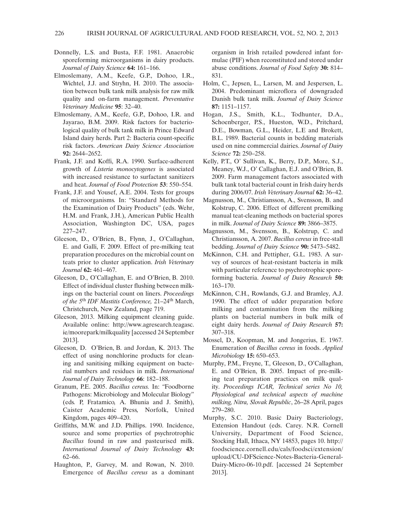- Donnelly, L.S. and Busta, F.F. 1981. Anaerobic sporeforming microorganisms in dairy products. *Journal of Dairy Science* **64:** 161–166.
- Elmoslemany, A.M., Keefe, G.P., Dohoo, I.R., Wichtel, J.J. and Stryhn, H. 2010. The association between bulk tank milk analysis for raw milk quality and on-farm management. *Preventative Veterinary Medicine* **95**: 32–40.
- Elmoslemany, A.M., Keefe, G.P., Dohoo, I.R. and Jayarao, B.M. 2009. Risk factors for bacteriological quality of bulk tank milk in Prince Edward Island dairy herds. Part 2: Bacteria count-specific risk factors. *American Dairy Science Association* **92:** 2644–2652.
- Frank, J.F. and Koffi, R.A. 1990. Surface-adherent growth of *Listeria monocytogenes* is associated with increased resistance to surfactant sanitizers and heat. *Journal of Food Protection* **53**: 550–554.
- Frank, J.F. and Yousef, A.E. 2004. Tests for groups of microorganisms*.* In: "Standard Methods for the Examination of Dairy Products" (eds. Wehr, H.M. and Frank, J.H.), American Public Health Association, Washington DC, USA, pages 227–247.
- Gleeson, D., O'Brien, B., Flynn, J., O'Callaghan, E. and Galli, F. 2009. Effect of pre-milking teat preparation procedures on the microbial count on teats prior to cluster application. *Irish Veterinary Journal* **62:** 461–467.
- Gleeson, D., O'Callaghan, E. and O'Brien, B. 2010. Effect of individual cluster flushing between milkings on the bacterial count on liners. *Proceedings of the 5*th *IDF Mastitis Conference,* 21–24th March, Christchurch, New Zealand, page 719.
- Gleeson, 2013. Milking equipment cleaning guide. Available online: http://www.agresearch.teagasc. ie/moorepark/milkquality [accessed 24 September 2013].
- Gleeson, D. O'Brien, B. and Jordan, K. 2013. The effect of using nonchlorine products for cleaning and sanitising milking equipment on bacterial numbers and residues in milk. *International Journal of Dairy Technology* **66**: 182–188.
- Granum, P.E. 2005. *Bacillus cereus.* In: *"*Foodborne Pathogens: Microbiology and Molecular Biology" (eds*.* P, Fratamico*,* A. Bhunia and J. Smith), Caister Academic Press*,* Norfolk, United Kingdom, pages 409–420.
- Griffiths, M.W. and J.D. Phillips. 1990. Incidence, source and some properties of psychrotrophic *Bacillus* found in raw and pasteurised milk. *International Journal of Dairy Technology* **43:**  62–66.
- Haughton, P., Garvey, M. and Rowan, N. 2010. Emergence of *Bacillus cereus* as a dominant

organism in Irish retailed powdered infant formulae (PIF) when reconstituted and stored under abuse conditions. *Journal of Food Safety* **30:** 814– 831.

- Holm, C., Jepsen, L., Larsen, M. and Jespersen, L. 2004. Predominant microflora of downgraded Danish bulk tank milk. *Journal of Dairy Science* **87:** 1151–1157.
- Hogan, J.S., Smith, K.L., Todhunter, D.A., Schoenberger, P.S., Hueston, W.D., Pritchard, D.E., Bowman, G.L., Heider, L.E and Brokett, B.L. 1989. Bacterial counts in bedding materials used on nine commercial dairies. *Journal of Dairy Science* **72:** 250–258.
- Kelly, P.T., O' Sullivan, K., Berry, D.P., More, S.J., Meaney, W.J., O' Callaghan, E.J. and O'Brien, B. 2009. Farm management factors associated with bulk tank total bacterial count in Irish dairy herds during 2006/07. *Irish Veterinary Journal* **62:** 36–42.
- Magnusson, M., Christiansson, A., Svensson, B. and Kolstrup, C. 2006. Effect of different premilking manual teat-cleaning methods on bacterial spores in milk. *Journal of Dairy Science* **89:** 3866–3875.
- Magnusson, M., Svensson, B., Kolstrup, C. and Christiansson, A. 2007. *Bacillus cereus* in free-stall bedding. *Journal of Dairy Science* **90:** 5473–5482.
- McKinnon, C.H. and Pettipher, G.L. 1983. A survey of sources of heat-resistant bacteria in milk with particular reference to psychrotrophic sporeforming bacteria. *Journal of Dairy Research* **50:** 163–170.
- McKinnon, C.H., Rowlands, G.J. and Bramley, A.J. 1990. The effect of udder preparation before milking and contamination from the milking plants on bacterial numbers in bulk milk of eight dairy herds. *Journal of Dairy Research* **57:** 307–318.
- Mossel, D., Koopman, M. and Jongerius, E. 1967. Enumeration of *Bacillus cereus* in foods. *Applied Microbiology* **15:** 650–653.
- Murphy, P.M., Freyne, T., Gleeson, D., O'Callaghan, E. and O'Brien, B. 2005. Impact of pre-milking teat preparation practices on milk quality. *Proceedings ICAR, Technical series No 10, Physiological and technical aspects of machine milking, Nitra, Slovak Republic*, 26–28 April, pages 279–280.
- Murphy, S.C. 2010. Basic Dairy Bacteriology, Extension Handout (eds. Carey. N.R. Cornell University, Department of Food Science, Stocking Hall, Ithaca, NY 14853, pages 10. http:// foodscience.cornell.edu/cals/foodsci/extension/ upload/CU-DFScience-Notes-Bacteria-General-Dairy-Micro-06-10.pdf. [accessed 24 September 2013].